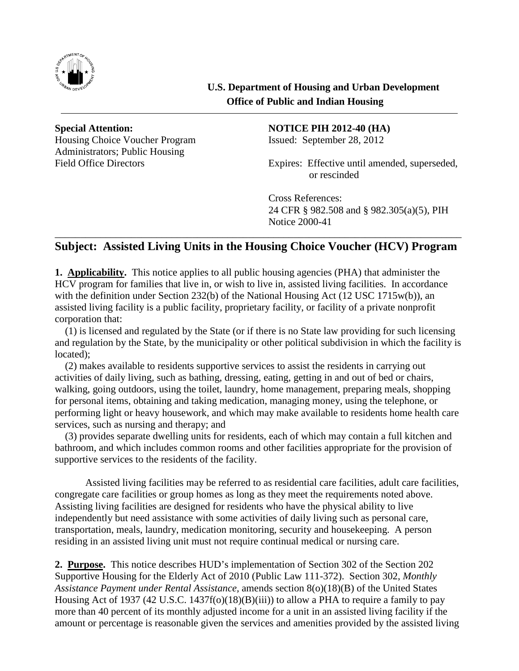

Housing Choice Voucher Program Issued: September 28, 2012 Administrators; Public Housing

## Special Attention: NOTICE PIH 2012-40 (HA)

Field Office Directors Expires: Effective until amended, superseded, or rescinded

> Cross References: 24 CFR § 982.508 and § 982.305(a)(5), PIH Notice 2000-41

## \_\_\_\_\_\_\_\_\_\_\_\_\_\_\_\_\_\_\_\_\_\_\_\_\_\_\_\_\_\_\_\_\_\_\_\_\_\_\_\_\_\_\_\_\_\_\_\_\_\_\_\_\_\_\_\_\_\_\_\_\_\_\_\_\_\_\_\_\_\_\_\_\_\_\_\_\_\_\_\_ **Subject: Assisted Living Units in the Housing Choice Voucher (HCV) Program**

**1. Applicability.** This notice applies to all public housing agencies (PHA) that administer the HCV program for families that live in, or wish to live in, assisted living facilities. In accordance with the definition under Section 232(b) of the National Housing Act (12 USC 1715w(b)), an assisted living facility is a public facility, proprietary facility, or facility of a private nonprofit corporation that:

(1) is licensed and regulated by the State (or if there is no State law providing for such licensing and regulation by the State, by the municipality or other political subdivision in which the facility is located);

(2) makes available to residents supportive services to assist the residents in carrying out activities of daily living, such as bathing, dressing, eating, getting in and out of bed or chairs, walking, going outdoors, using the toilet, laundry, home management, preparing meals, shopping for personal items, obtaining and taking medication, managing money, using the telephone, or performing light or heavy housework, and which may make available to residents home health care services, such as nursing and therapy; and

(3) provides separate dwelling units for residents, each of which may contain a full kitchen and bathroom, and which includes common rooms and other facilities appropriate for the provision of supportive services to the residents of the facility.

Assisted living facilities may be referred to as residential care facilities, adult care facilities, congregate care facilities or group homes as long as they meet the requirements noted above. Assisting living facilities are designed for residents who have the physical ability to live independently but need assistance with some activities of daily living such as personal care, transportation, meals, laundry, medication monitoring, security and housekeeping. A person residing in an assisted living unit must not require continual medical or nursing care.

**2. Purpose.** This notice describes HUD's implementation of Section 302 of the Section 202 Supportive Housing for the Elderly Act of 2010 (Public Law 111-372). Section 302, *Monthly Assistance Payment under Rental Assistance,* amends section 8(o)(18)(B) of the United States Housing Act of 1937 (42 U.S.C. 1437f(o)(18)(B)(iii)) to allow a PHA to require a family to pay more than 40 percent of its monthly adjusted income for a unit in an assisted living facility if the amount or percentage is reasonable given the services and amenities provided by the assisted living